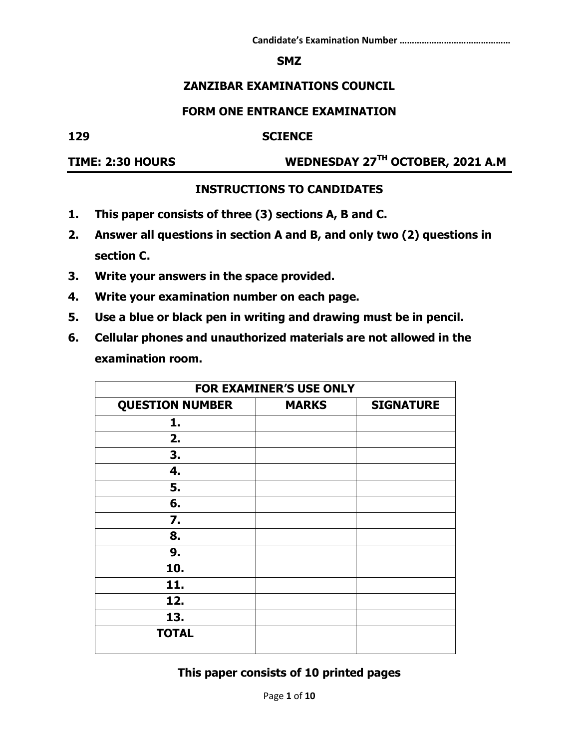#### **SMZ**

## **ZANZIBAR EXAMINATIONS COUNCIL**

### **FORM ONE ENTRANCE EXAMINATION**

#### **129 SCIENCE**

**TIME: 2:30 HOURS WEDNESDAY 27TH OCTOBER, 2021 A.M**

### **INSTRUCTIONS TO CANDIDATES**

- **1. This paper consists of three (3) sections A, B and C.**
- **2. Answer all questions in section A and B, and only two (2) questions in section C.**
- **3. Write your answers in the space provided.**
- **4. Write your examination number on each page.**
- **5. Use a blue or black pen in writing and drawing must be in pencil.**
- **6. Cellular phones and unauthorized materials are not allowed in the examination room.**

|                        | <b>FOR EXAMINER'S USE ONLY</b> |                  |
|------------------------|--------------------------------|------------------|
| <b>QUESTION NUMBER</b> | <b>MARKS</b>                   | <b>SIGNATURE</b> |
| 1.                     |                                |                  |
| 2.                     |                                |                  |
| 3.                     |                                |                  |
| 4.                     |                                |                  |
| 5.                     |                                |                  |
| 6.                     |                                |                  |
| 7.                     |                                |                  |
| 8.                     |                                |                  |
| 9.                     |                                |                  |
| 10.                    |                                |                  |
| 11.                    |                                |                  |
| 12.                    |                                |                  |
| 13.                    |                                |                  |
| <b>TOTAL</b>           |                                |                  |

**This paper consists of 10 printed pages**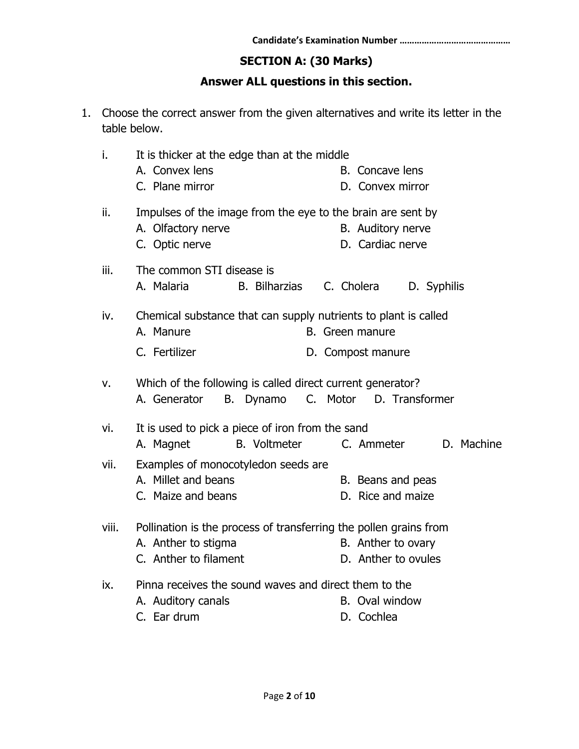# **SECTION A: (30 Marks)**

# **Answer ALL questions in this section.**

1. Choose the correct answer from the given alternatives and write its letter in the table below.

| i.    | It is thicker at the edge than at the middle<br>A. Convex lens<br>B. Concave lens<br>C. Plane mirror<br>D. Convex mirror                                       |
|-------|----------------------------------------------------------------------------------------------------------------------------------------------------------------|
| ii.   | Impulses of the image from the eye to the brain are sent by<br>A. Olfactory nerve<br>B. Auditory nerve<br>D. Cardiac nerve<br>C. Optic nerve                   |
| iii.  | The common STI disease is<br><b>B.</b> Bilharzias<br>A. Malaria<br>C. Cholera<br>D. Syphilis                                                                   |
| iv.   | Chemical substance that can supply nutrients to plant is called<br>A. Manure<br>B. Green manure<br>C. Fertilizer<br>D. Compost manure                          |
| ν.    | Which of the following is called direct current generator?<br>C. Motor D. Transformer<br>B. Dynamo<br>A. Generator                                             |
| vi.   | It is used to pick a piece of iron from the sand<br><b>B.</b> Voltmeter<br>A. Magnet<br>C. Ammeter<br>D. Machine                                               |
| vii.  | Examples of monocotyledon seeds are<br>A. Millet and beans<br>B. Beans and peas<br>D. Rice and maize<br>C. Maize and beans                                     |
| viii. | Pollination is the process of transferring the pollen grains from<br>A. Anther to stigma<br>B. Anther to ovary<br>C. Anther to filament<br>D. Anther to ovules |
| ix.   | Pinna receives the sound waves and direct them to the<br>A. Auditory canals<br>B. Oval window<br>C. Ear drum<br>D. Cochlea                                     |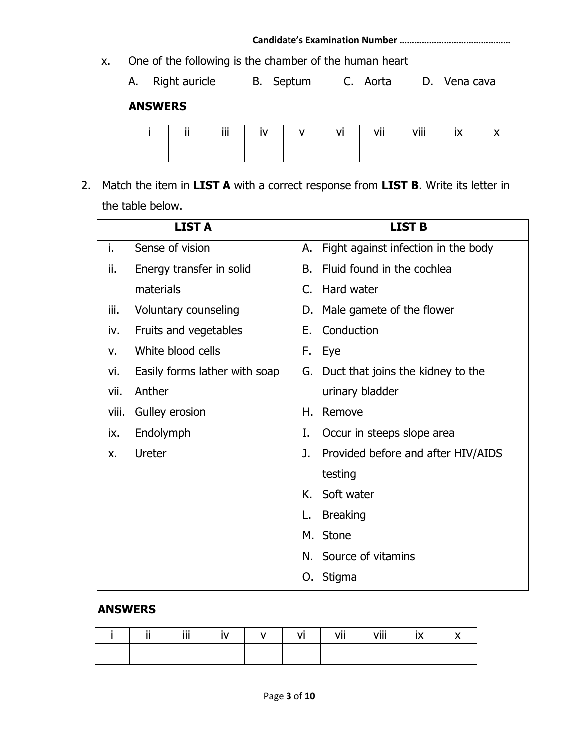x. One of the following is the chamber of the human heart

A. Right auricle B. Septum C. Aorta D. Vena cava

# **ANSWERS**

| $\cdots$ | 222.<br> |  | vii | viii |  |
|----------|----------|--|-----|------|--|
|          |          |  |     |      |  |

2. Match the item in **LIST A** with a correct response from **LIST B**. Write its letter in the table below.

|       | <b>LIST A</b>                 |    | <b>LIST B</b>                       |
|-------|-------------------------------|----|-------------------------------------|
| i.    | Sense of vision               | А. | Fight against infection in the body |
| ii.   | Energy transfer in solid      | В. | Fluid found in the cochlea          |
|       | materials                     | C. | Hard water                          |
| iii.  | Voluntary counseling          | D. | Male gamete of the flower           |
| iv.   | Fruits and vegetables         | Е. | Conduction                          |
| v.    | White blood cells             | F. | Eye                                 |
| vi.   | Easily forms lather with soap | G. | Duct that joins the kidney to the   |
| vii.  | Anther                        |    | urinary bladder                     |
| viii. | Gulley erosion                | Η. | Remove                              |
| ix.   | Endolymph                     | I. | Occur in steeps slope area          |
| X.    | Ureter                        | J. | Provided before and after HIV/AIDS  |
|       |                               |    | testing                             |
|       |                               | К. | Soft water                          |
|       |                               | L. | <b>Breaking</b>                     |
|       |                               | М. | Stone                               |
|       |                               | N. | Source of vitamins                  |
|       |                               | 0. | Stigma                              |

## **ANSWERS**

|  | Ϊİ | $\ddot{\phantom{1}}$ | vii | viii | $\ddot{\phantom{1}}$ |
|--|----|----------------------|-----|------|----------------------|
|  |    |                      |     |      |                      |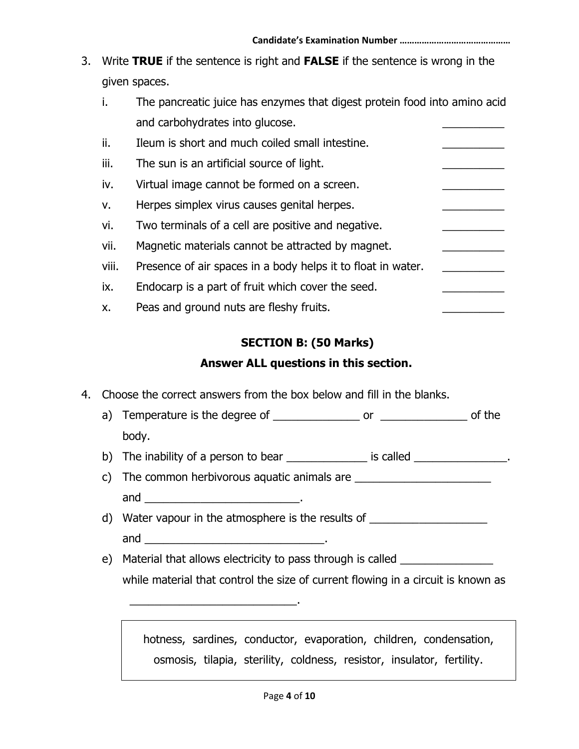3. Write **TRUE** if the sentence is right and **FALSE** if the sentence is wrong in the given spaces.

| The pancreatic juice has enzymes that digest protein food into amino acid |  |
|---------------------------------------------------------------------------|--|
| and carbohydrates into glucose.                                           |  |
|                                                                           |  |

ii. Ileum is short and much coiled small intestine. iii. The sun is an artificial source of light. iv. Virtual image cannot be formed on a screen. v. Herpes simplex virus causes genital herpes. vi. Two terminals of a cell are positive and negative. vii. Magnetic materials cannot be attracted by magnet. viii. Presence of air spaces in a body helps it to float in water. ix. Endocarp is a part of fruit which cover the seed. x. Peas and ground nuts are fleshy fruits.

## **SECTION B: (50 Marks)**

## **Answer ALL questions in this section.**

4. Choose the correct answers from the box below and fill in the blanks.

\_\_\_\_\_\_\_\_\_\_\_\_\_\_\_\_\_\_\_\_\_\_\_\_\_\_\_.

- a) Temperature is the degree of \_\_\_\_\_\_\_\_\_\_\_\_\_\_ or \_\_\_\_\_\_\_\_\_\_\_\_\_\_ of the body.
- b) The inability of a person to bear  $\Box$  is called  $\Box$
- c) The common herbivorous aquatic animals are \_\_\_\_\_\_\_\_\_\_\_\_\_\_\_\_\_\_\_\_\_\_\_\_\_\_\_\_\_\_\_\_\_\_ and  $\qquad \qquad \qquad \qquad \qquad \qquad$
- d) Water vapour in the atmosphere is the results of and  $\qquad \qquad \qquad \qquad \qquad \qquad$
- e) Material that allows electricity to pass through is called \_\_\_\_\_\_\_\_\_\_\_\_\_\_\_\_\_\_ while material that control the size of current flowing in a circuit is known as

hotness, sardines, conductor, evaporation, children, condensation, osmosis, tilapia, sterility, coldness, resistor, insulator, fertility.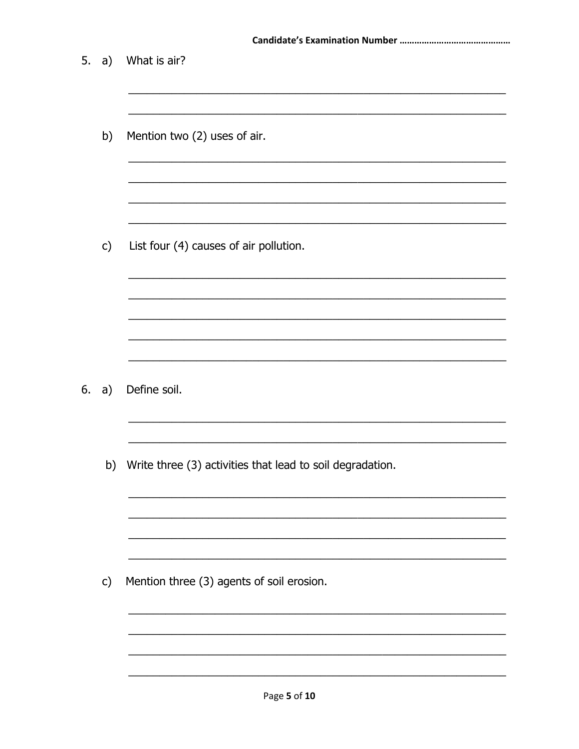| 5. | a)            | What is air?                                                 |
|----|---------------|--------------------------------------------------------------|
|    | b)            | Mention two (2) uses of air.                                 |
|    | $\mathsf{c})$ | List four (4) causes of air pollution.                       |
|    |               |                                                              |
| 6. | a)            | Define soil.                                                 |
|    |               | b) Write three (3) activities that lead to soil degradation. |
|    | $\mathsf{c})$ | Mention three (3) agents of soil erosion.                    |
|    |               |                                                              |
|    |               | Page 5 of 10                                                 |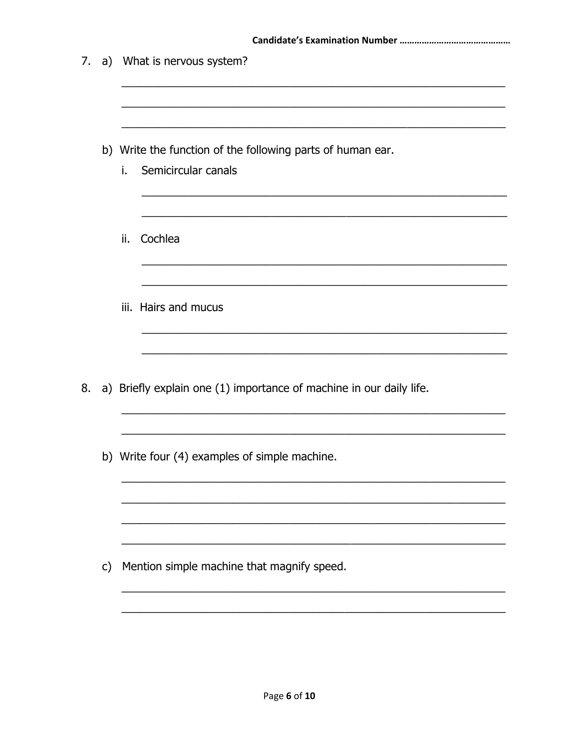| 7. |              | a) What is nervous system?                                                              |
|----|--------------|-----------------------------------------------------------------------------------------|
|    |              | b) Write the function of the following parts of human ear.<br>Semicircular canals<br>i. |
|    |              | ii.<br>Cochlea                                                                          |
|    |              | iii. Hairs and mucus                                                                    |
| 8. |              | a) Briefly explain one (1) importance of machine in our daily life.                     |
|    |              | b) Write four (4) examples of simple machine.                                           |
|    | $\mathsf{C}$ | Mention simple machine that magnify speed.                                              |
|    |              |                                                                                         |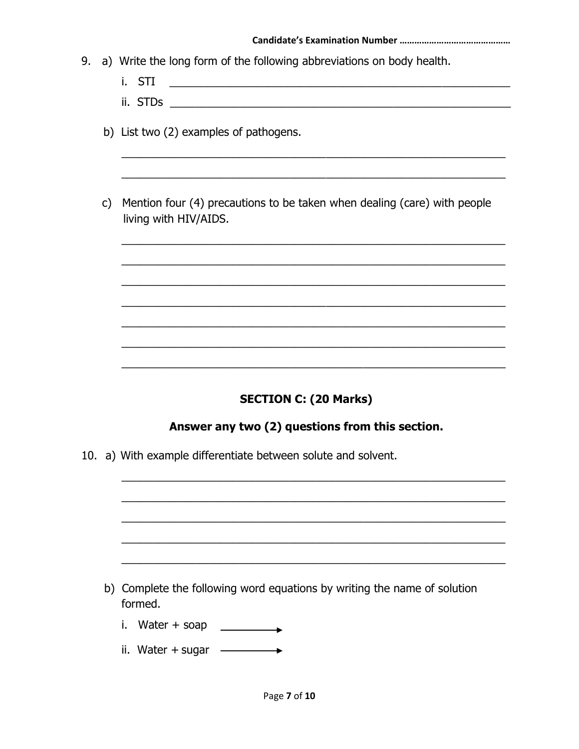- 9. a) Write the long form of the following abbreviations on body health.
	- i. STI
	-
	- b) List two (2) examples of pathogens.
	- c) Mention four (4) precautions to be taken when dealing (care) with people living with HIV/AIDS.

## **SECTION C: (20 Marks)**

### Answer any two (2) questions from this section.

10. a) With example differentiate between solute and solvent.

b) Complete the following word equations by writing the name of solution formed.

- i. Water + soap  $\qquad \qquad$
- ii. Water + sugar  $\longrightarrow$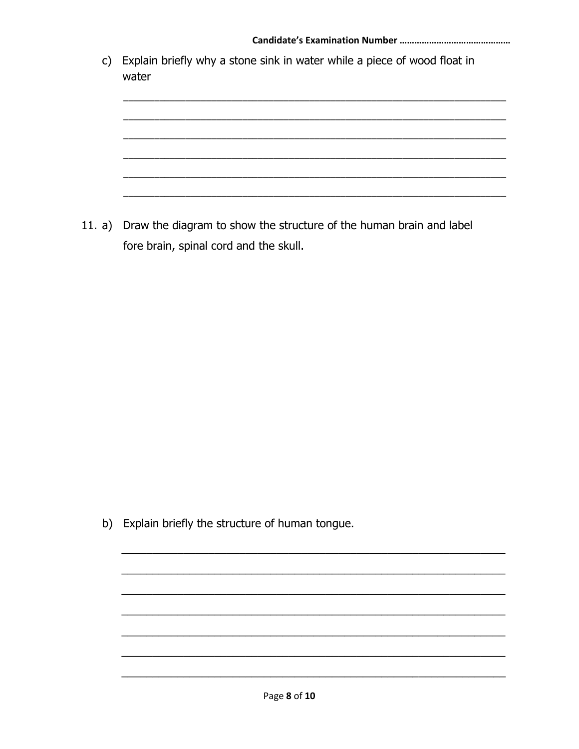| $\mathsf{C}$ | Explain briefly why a stone sink in water while a piece of wood float in<br>water |
|--------------|-----------------------------------------------------------------------------------|
|              |                                                                                   |
|              |                                                                                   |
|              |                                                                                   |

11. a) Draw the diagram to show the structure of the human brain and label fore brain, spinal cord and the skull.

b) Explain briefly the structure of human tongue.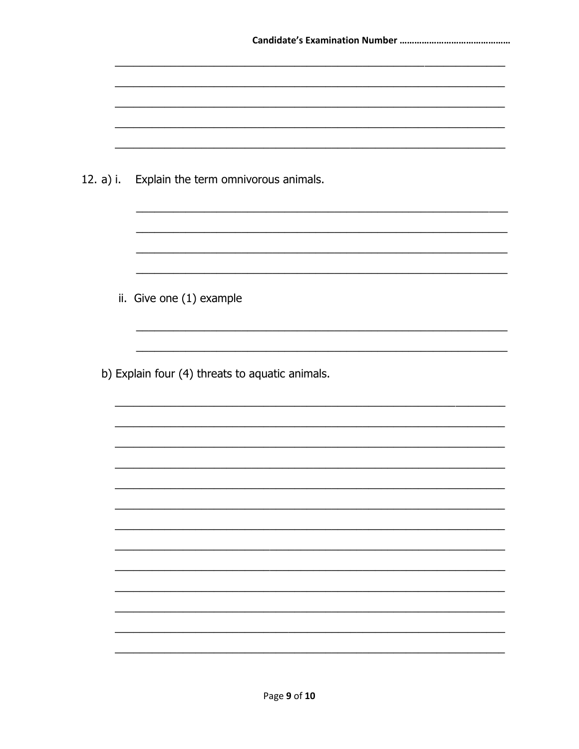|  | 12. a) i. Explain the term omnivorous animals.  |
|--|-------------------------------------------------|
|  |                                                 |
|  |                                                 |
|  |                                                 |
|  |                                                 |
|  |                                                 |
|  | ii. Give one (1) example                        |
|  |                                                 |
|  |                                                 |
|  | b) Explain four (4) threats to aquatic animals. |
|  |                                                 |
|  |                                                 |
|  |                                                 |
|  |                                                 |
|  |                                                 |
|  |                                                 |
|  |                                                 |
|  |                                                 |
|  |                                                 |
|  |                                                 |
|  |                                                 |
|  |                                                 |
|  |                                                 |